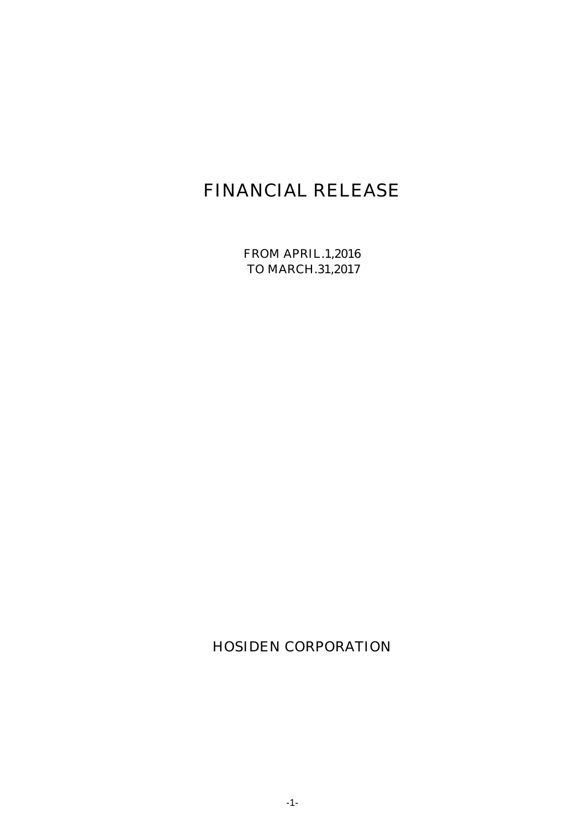# FINANCIAL RELEASE

FROM APRIL.1,2016 TO MARCH.31,2017

HOSIDEN CORPORATION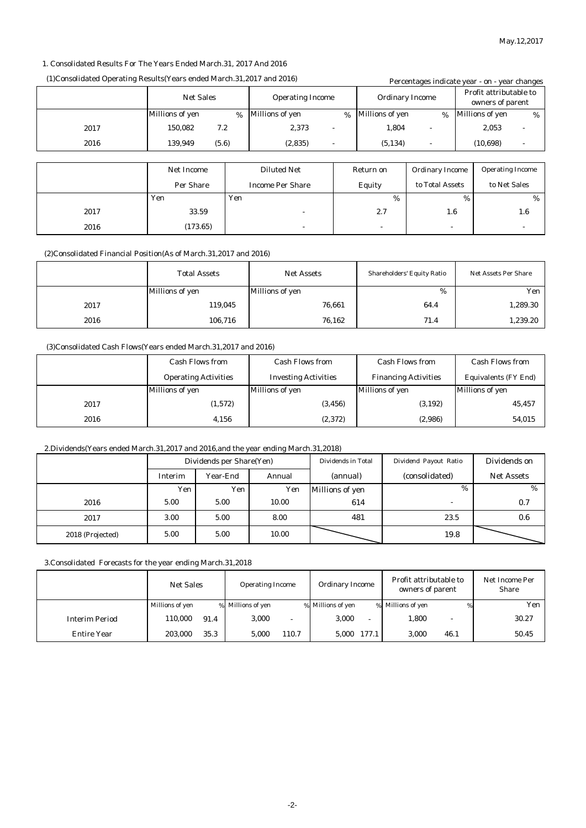#### 1. Consolidated Results For The Years Ended March.31, 2017 And 2016

#### (1)Consolidated Operating Results(Years ended March.31,2017 and 2016) Percentages indicate year - on - year changes

| <b>Net Sales</b> |                 |       | <b>Operating Income</b> |      | I creditages muitate year - on - year changes<br>Profit attributable to<br><b>Ordinary Income</b> |                          |  |                                     |                          |
|------------------|-----------------|-------|-------------------------|------|---------------------------------------------------------------------------------------------------|--------------------------|--|-------------------------------------|--------------------------|
|                  | Millions of yen | %     | Millions of yen         | $\%$ | Millions of yen                                                                                   | %                        |  | owners of parent<br>Millions of yen | %                        |
| 2017             | 150,082         | 7.2   | 2,373<br>٠              |      | 1,804                                                                                             |                          |  | 2,053                               | $\overline{\phantom{a}}$ |
| 2016             | 139.949         | (5.6) | (2,835)<br>٠            |      | (5, 134)                                                                                          | $\overline{\phantom{a}}$ |  | (10, 698)                           | $\overline{\phantom{a}}$ |
|                  |                 |       |                         |      |                                                                                                   |                          |  |                                     |                          |
|                  | Net Income      |       | <b>Diluted Net</b>      |      | Return on                                                                                         | <b>Ordinary Income</b>   |  | <b>Operating Income</b>             |                          |
|                  | Per Share       |       | <b>Income Per Share</b> |      | <b>Equity</b>                                                                                     | to Total Assets          |  | to Net Sales                        |                          |

|      | Yen      | Yen | %                        | %                        | $\frac{6}{2}$ |
|------|----------|-----|--------------------------|--------------------------|---------------|
| 2017 | 33.59    |     | 2.7                      | 1.6                      | 1.V           |
| 2016 | (173.65) | ۰   | $\overline{\phantom{a}}$ | $\overline{\phantom{a}}$ |               |
|      |          |     |                          |                          |               |

#### (2)Consolidated Financial Position(As of March.31,2017 and 2016)

|      | <b>Total Assets</b> | <b>Net Assets</b> | <b>Shareholders' Equity Ratio</b> | <b>Net Assets Per Share</b> |
|------|---------------------|-------------------|-----------------------------------|-----------------------------|
|      | Millions of yen     | Millions of yen   | %                                 | Yen                         |
| 2017 | 119,045             | 76,661            | 64.4                              | 1,289.30                    |
| 2016 | 106,716             | 76,162            | 71.4                              | 1,239.20                    |

#### (3)Consolidated Cash Flows(Years ended March.31,2017 and 2016)

|      | <b>Cash Flows from</b>      | <b>Cash Flows from</b>      | <b>Cash Flows from</b>      | <b>Cash Flows from</b>      |
|------|-----------------------------|-----------------------------|-----------------------------|-----------------------------|
|      | <b>Operating Activities</b> | <b>Investing Activities</b> | <b>Financing Activities</b> | <b>Equivalents (FY End)</b> |
|      | Millions of yen             | Millions of yen             | Millions of yen             | <b>Millions of yen</b>      |
| 2017 | (1,572)                     | (3, 456)                    | (3, 192)                    | 45,457                      |
| 2016 | 4.156                       | (2,372)                     | (2,986)                     | 54,015                      |

#### 2.Dividends(Years ended March.31,2017 and 2016,and the year ending March.31,2018)

|                  | Dividends per Share(Yen) |                    |       | Dividends in Total | Dividend Payout Ratio | Dividends on      |
|------------------|--------------------------|--------------------|-------|--------------------|-----------------------|-------------------|
|                  | Interim                  | Annual<br>Year-End |       | (annual)           | (consolidated)        | <b>Net Assets</b> |
|                  | Yen                      | Yen                | Yen   | Millions of yen    | %                     | $\%$              |
| 2016             | 5.00                     | 5.00               | 10.00 | 614                | $\overline{a}$        | 0.7               |
| 2017             | 3.00                     | 5.00               | 8.00  | 481                | 23.5                  | 0.6               |
| 2018 (Projected) | 5.00                     | 5.00               | 10.00 |                    | 19.8                  |                   |

3.Consolidated Forecasts for the year ending March.31,2018

|                       | <b>Net Sales</b> |      | <b>Operating Income</b> |       | <b>Ordinary Income</b> |       | Profit attributable to<br>owners of parent |      | Net Income Per<br><b>Share</b> |
|-----------------------|------------------|------|-------------------------|-------|------------------------|-------|--------------------------------------------|------|--------------------------------|
|                       | Millions of yen  |      | % Millions of yen       |       | % Millions of ven      |       | % Millions of yen                          |      | Yen                            |
| <b>Interim Period</b> | 110.000          | 91.4 | 3.000                   | ۰     | 3,000                  |       | 1,800                                      |      | 30.27                          |
| <b>Entire Year</b>    | 203.000          | 35.3 | 5.000                   | 110.7 | 5.000                  | 177.1 | 3.000                                      | 46.1 | 50.45                          |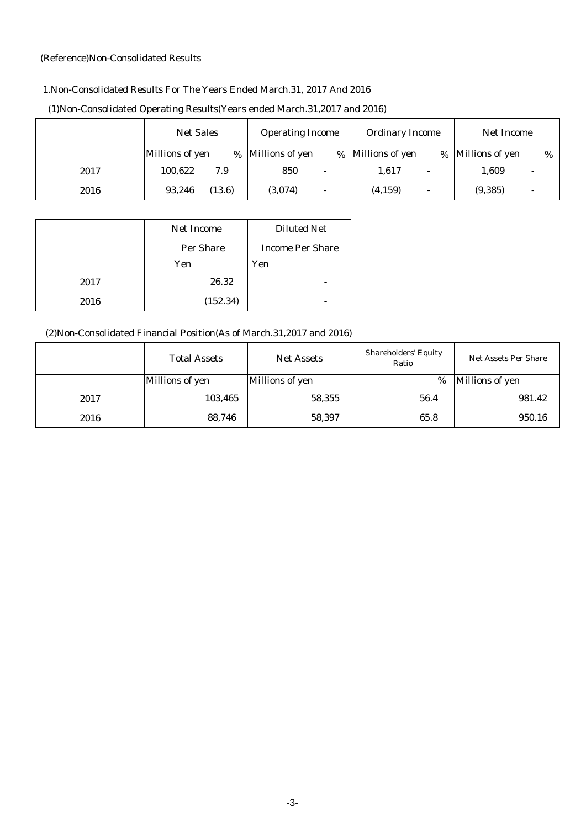#### (Reference)Non-Consolidated Results

## 1.Non-Consolidated Results For The Years Ended March.31, 2017 And 2016

|      | <b>Net Sales</b>       | <b>Operating Income</b>             | <b>Ordinary Income</b>               | Net Income           |  |
|------|------------------------|-------------------------------------|--------------------------------------|----------------------|--|
|      | <b>Millions of yen</b> | % Millions of yen                   | % Millions of yen<br>$\%$            | Millions of yen<br>% |  |
| 2017 | 100,622<br>7.9         | 850<br>$\overline{\phantom{0}}$     | 1,617<br>$\overline{\phantom{0}}$    | 1,609                |  |
| 2016 | 93,246<br>(13.6)       | (3,074)<br>$\overline{\phantom{0}}$ | (4, 159)<br>$\overline{\phantom{0}}$ | (9, 385)             |  |

## (1)Non-Consolidated Operating Results(Years ended March.31,2017 and 2016)

|      | <b>Net Income</b> | <b>Diluted Net</b>      |
|------|-------------------|-------------------------|
|      | <b>Per Share</b>  | <b>Income Per Share</b> |
|      | Yen               | Yen                     |
| 2017 | 26.32             |                         |
| 2016 | (152.34)          |                         |

#### (2)Non-Consolidated Financial Position(As of March.31,2017 and 2016)

|      | <b>Total Assets</b>    | <b>Net Assets</b> | <b>Shareholders' Equity</b><br>Ratio | <b>Net Assets Per Share</b> |
|------|------------------------|-------------------|--------------------------------------|-----------------------------|
|      | <b>Millions of yen</b> | Millions of yen   | %                                    | <b>Millions of yen</b>      |
| 2017 | 103,465                | 58,355            | 56.4                                 | 981.42                      |
| 2016 | 88,746                 | 58,397            | 65.8                                 | 950.16                      |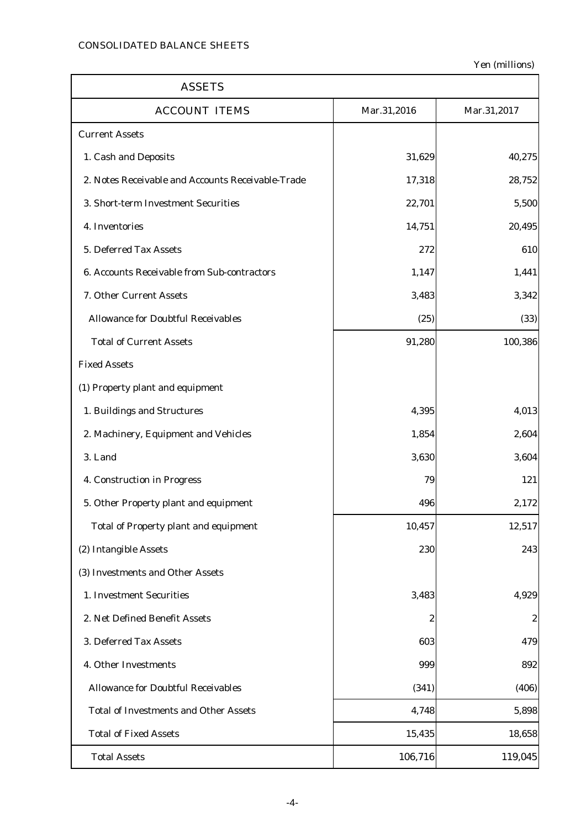$\mathbf{r}$ 

Yen (millions)

٦

| <b>ASSETS</b>                                      |             |             |
|----------------------------------------------------|-------------|-------------|
| <b>ACCOUNT ITEMS</b>                               | Mar.31,2016 | Mar.31,2017 |
| <b>Current Assets</b>                              |             |             |
| 1. Cash and Deposits                               | 31,629      | 40,275      |
| 2. Notes Receivable and Accounts Receivable-Trade  | 17,318      | 28,752      |
| 3. Short-term Investment Securities                | 22,701      | 5,500       |
| 4. Inventories                                     | 14,751      | 20,495      |
| 5. Deferred Tax Assets                             | 272         | 610         |
| <b>6. Accounts Receivable from Sub-contractors</b> | 1,147       | 1,441       |
| 7. Other Current Assets                            | 3,483       | 3,342       |
| <b>Allowance for Doubtful Receivables</b>          | (25)        | (33)        |
| <b>Total of Current Assets</b>                     | 91,280      | 100,386     |
| <b>Fixed Assets</b>                                |             |             |
| (1) Property plant and equipment                   |             |             |
| 1. Buildings and Structures                        | 4,395       | 4,013       |
| 2. Machinery, Equipment and Vehicles               | 1,854       | 2,604       |
| 3. Land                                            | 3,630       | 3,604       |
| 4. Construction in Progress                        | 79          | 121         |
| 5. Other Property plant and equipment              | 496         | 2,172       |
| <b>Total of Property plant and equipment</b>       | 10,457      | 12,517      |
| (2) Intangible Assets                              | 230         | 243         |
| (3) Investments and Other Assets                   |             |             |
| 1. Investment Securities                           | 3,483       | 4,929       |
| 2. Net Defined Benefit Assets                      | 2           | 2           |
| 3. Deferred Tax Assets                             | 603         | 479         |
| 4. Other Investments                               | 999         | 892         |
| <b>Allowance for Doubtful Receivables</b>          | (341)       | (406)       |
| <b>Total of Investments and Other Assets</b>       | 4,748       | 5,898       |
| <b>Total of Fixed Assets</b>                       | 15,435      | 18,658      |
| <b>Total Assets</b>                                | 106,716     | 119,045     |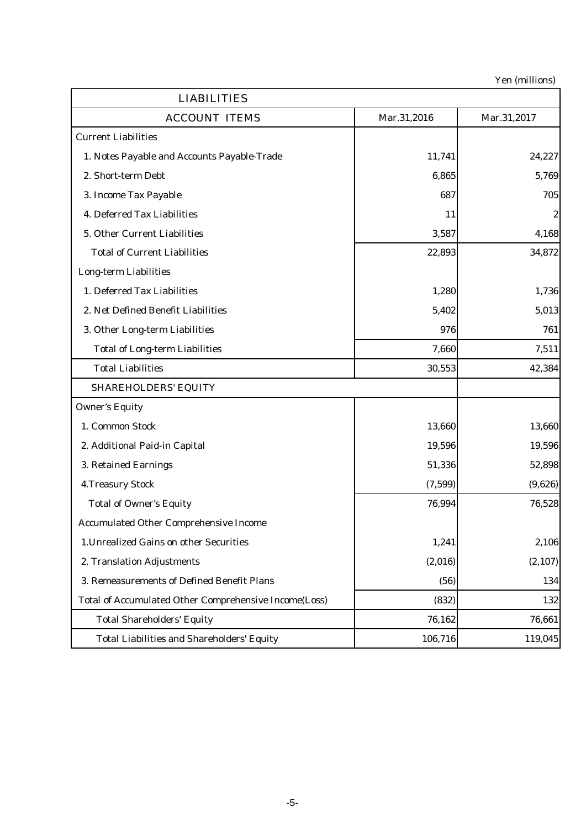| <b>LIABILITIES</b>                                    |             |             |
|-------------------------------------------------------|-------------|-------------|
| <b>ACCOUNT ITEMS</b>                                  | Mar.31,2016 | Mar.31,2017 |
| <b>Current Liabilities</b>                            |             |             |
| 1. Notes Payable and Accounts Payable-Trade           | 11,741      | 24,227      |
| 2. Short-term Debt                                    | 6,865       | 5,769       |
| 3. Income Tax Payable                                 | 687         | 705         |
| 4. Deferred Tax Liabilities                           | 11          | 2           |
| 5. Other Current Liabilities                          | 3,587       | 4,168       |
| <b>Total of Current Liabilities</b>                   | 22,893      | 34,872      |
| <b>Long-term Liabilities</b>                          |             |             |
| 1. Deferred Tax Liabilities                           | 1,280       | 1,736       |
| 2. Net Defined Benefit Liabilities                    | 5,402       | 5,013       |
| 3. Other Long-term Liabilities                        | 976         | 761         |
| <b>Total of Long-term Liabilities</b>                 | 7,660       | 7,511       |
| <b>Total Liabilities</b>                              | 30,553      | 42,384      |
| <b>SHAREHOLDERS' EQUITY</b>                           |             |             |
| <b>Owner's Equity</b>                                 |             |             |
| 1. Common Stock                                       | 13,660      | 13,660      |
| 2. Additional Paid-in Capital                         | 19,596      | 19,596      |
| 3. Retained Earnings                                  | 51,336      | 52,898      |
| <b>4. Treasury Stock</b>                              | (7,599)     | (9,626)     |
| <b>Total of Owner's Equity</b>                        | 76,994      | 76,528      |
| <b>Accumulated Other Comprehensive Income</b>         |             |             |
| 1. Unrealized Gains on other Securities               | 1,241       | 2,106       |
| 2. Translation Adjustments                            | (2,016)     | (2, 107)    |
| 3. Remeasurements of Defined Benefit Plans            | (56)        | 134         |
| Total of Accumulated Other Comprehensive Income(Loss) | (832)       | 132         |
| <b>Total Shareholders' Equity</b>                     | 76,162      | 76,661      |
| <b>Total Liabilities and Shareholders' Equity</b>     | 106,716     | 119,045     |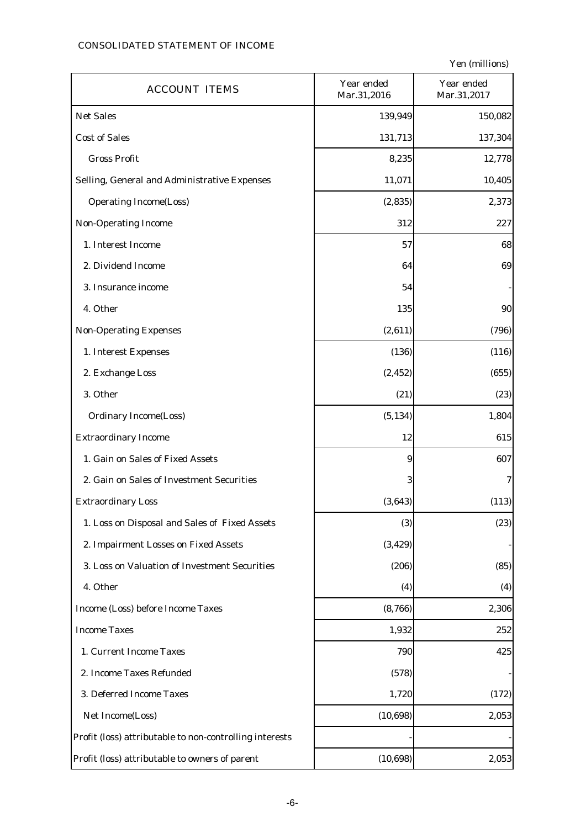## CONSOLIDATED STATEMENT OF INCOME

| <b>ACCOUNT ITEMS</b>                                    | Year ended<br>Mar.31,2016 | Year ended<br>Mar.31,2017 |
|---------------------------------------------------------|---------------------------|---------------------------|
| <b>Net Sales</b>                                        | 139,949                   | 150,082                   |
| <b>Cost of Sales</b>                                    | 131,713                   | 137,304                   |
| <b>Gross Profit</b>                                     | 8,235                     | 12,778                    |
| Selling, General and Administrative Expenses            | 11,071                    | 10,405                    |
| <b>Operating Income(Loss)</b>                           | (2, 835)                  | 2,373                     |
| <b>Non-Operating Income</b>                             | 312                       | 227                       |
| 1. Interest Income                                      | 57                        | 68                        |
| 2. Dividend Income                                      | 64                        | 69                        |
| 3. Insurance income                                     | 54                        |                           |
| 4. Other                                                | 135                       | 90                        |
| <b>Non-Operating Expenses</b>                           | (2,611)                   | (796)                     |
| 1. Interest Expenses                                    | (136)                     | (116)                     |
| 2. Exchange Loss                                        | (2, 452)                  | (655)                     |
| 3. Other                                                | (21)                      | (23)                      |
| <b>Ordinary Income(Loss)</b>                            | (5, 134)                  | 1,804                     |
| <b>Extraordinary Income</b>                             | 12                        | 615                       |
| 1. Gain on Sales of Fixed Assets                        | 9                         | 607                       |
| 2. Gain on Sales of Investment Securities               | 3                         | 7                         |
| <b>Extraordinary Loss</b>                               | (3,643)                   | (113)                     |
| 1. Loss on Disposal and Sales of Fixed Assets           | (3)                       | (23)                      |
| 2. Impairment Losses on Fixed Assets                    | (3, 429)                  |                           |
| 3. Loss on Valuation of Investment Securities           | (206)                     | (85)                      |
| 4. Other                                                | (4)                       | (4)                       |
| Income (Loss) before Income Taxes                       | (8,766)                   | 2,306                     |
| <b>Income Taxes</b>                                     | 1,932                     | 252                       |
| 1. Current Income Taxes                                 | 790                       | 425                       |
| 2. Income Taxes Refunded                                | (578)                     |                           |
| 3. Deferred Income Taxes                                | 1,720                     | (172)                     |
| Net Income(Loss)                                        | (10, 698)                 | 2,053                     |
| Profit (loss) attributable to non-controlling interests |                           |                           |
| Profit (loss) attributable to owners of parent          | (10, 698)                 | 2,053                     |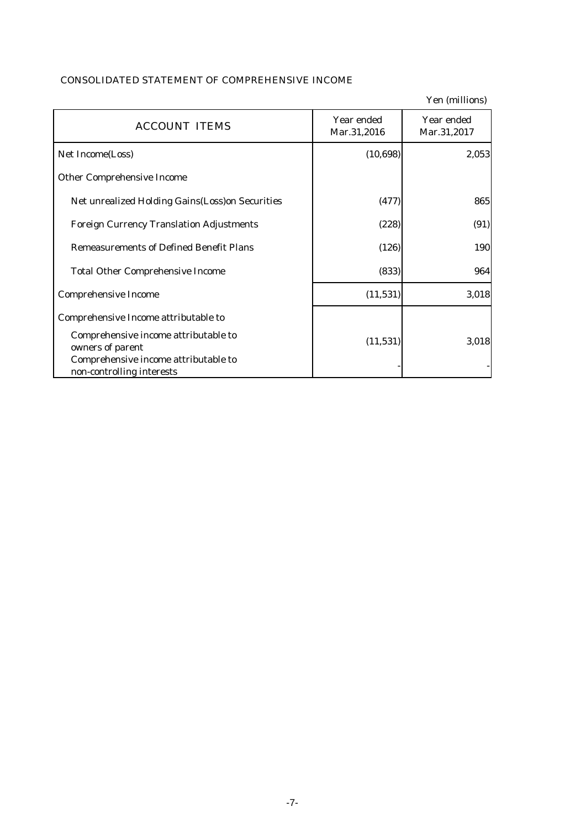| <b>CONSOLIDATED STATEMENT OF COMPREHENSIVE INCOME</b> |  |
|-------------------------------------------------------|--|
|-------------------------------------------------------|--|

| <b>ACCOUNT ITEMS</b>                                              | Year ended  | Year ended  |
|-------------------------------------------------------------------|-------------|-------------|
|                                                                   | Mar.31,2016 | Mar.31,2017 |
| Net Income(Loss)                                                  | (10, 698)   | 2,053       |
| <b>Other Comprehensive Income</b>                                 |             |             |
| Net unrealized Holding Gains(Loss) on Securities                  | (477)       | 865         |
| <b>Foreign Currency Translation Adjustments</b>                   | (228)       | (91)        |
| <b>Remeasurements of Defined Benefit Plans</b>                    | (126)       | 190         |
| <b>Total Other Comprehensive Income</b>                           | (833)       | 964         |
| <b>Comprehensive Income</b>                                       | (11, 531)   | 3,018       |
| Comprehensive Income attributable to                              |             |             |
| Comprehensive income attributable to<br>owners of parent          | (11, 531)   | 3,018       |
| Comprehensive income attributable to<br>non-controlling interests |             |             |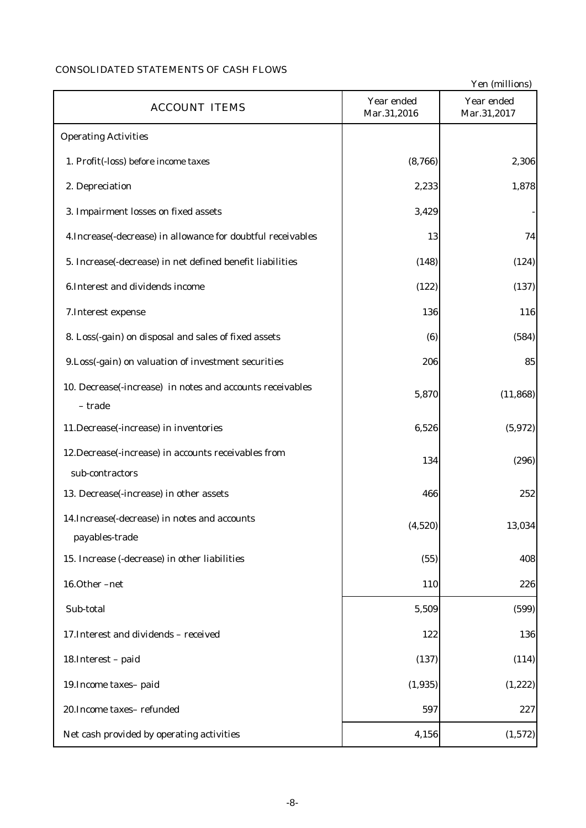## CONSOLIDATED STATEMENTS OF CASH FLOWS

|                                                                         |                           | Yen (millions)            |
|-------------------------------------------------------------------------|---------------------------|---------------------------|
| <b>ACCOUNT ITEMS</b>                                                    | Year ended<br>Mar.31,2016 | Year ended<br>Mar.31,2017 |
| <b>Operating Activities</b>                                             |                           |                           |
| 1. Profit(-loss) before income taxes                                    | (8,766)                   | 2,306                     |
| 2. Depreciation                                                         | 2,233                     | 1,878                     |
| 3. Impairment losses on fixed assets                                    | 3,429                     |                           |
| 4. Increase(-decrease) in allowance for doubtful receivables            | 13                        | 74                        |
| 5. Increase(-decrease) in net defined benefit liabilities               | (148)                     | (124)                     |
| 6. Interest and dividends income                                        | (122)                     | (137)                     |
| 7. Interest expense                                                     | 136                       | 116                       |
| 8. Loss(-gain) on disposal and sales of fixed assets                    | (6)                       | (584)                     |
| 9. Loss(-gain) on valuation of investment securities                    | 206                       | 85                        |
| 10. Decrease(-increase) in notes and accounts receivables<br>- trade    | 5,870                     | (11, 868)                 |
| 11.Decrease(-increase) in inventories                                   | 6,526                     | (5, 972)                  |
| 12. Decrease(-increase) in accounts receivables from<br>sub-contractors | 134                       | (296)                     |
| 13. Decrease(-increase) in other assets                                 | 466                       | 252                       |
| 14. Increase (-decrease) in notes and accounts<br>payables-trade        | (4,520)                   | 13,034                    |
| 15. Increase (-decrease) in other liabilities                           | (55)                      | 408                       |
| 16.Other-net                                                            | 110                       | 226                       |
| Sub-total                                                               | 5,509                     | (599)                     |
| 17. Interest and dividends - received                                   | 122                       | 136                       |
| 18. Interest - paid                                                     | (137)                     | (114)                     |
| 19. Income taxes-paid                                                   | (1, 935)                  | (1, 222)                  |
| 20. Income taxes-refunded                                               | 597                       | 227                       |
| Net cash provided by operating activities                               | 4,156                     | (1,572)                   |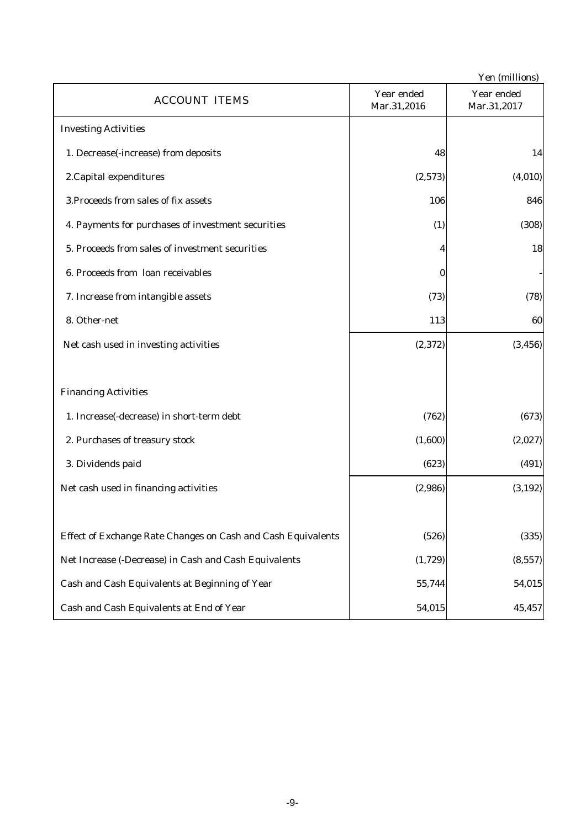|                                                              |                           | Yen (millions)            |
|--------------------------------------------------------------|---------------------------|---------------------------|
| <b>ACCOUNT ITEMS</b>                                         | Year ended<br>Mar.31,2016 | Year ended<br>Mar.31,2017 |
| <b>Investing Activities</b>                                  |                           |                           |
| 1. Decrease(-increase) from deposits                         | 48                        | 14                        |
| 2. Capital expenditures                                      | (2,573)                   | (4,010)                   |
| 3. Proceeds from sales of fix assets                         | 106                       | 846                       |
| 4. Payments for purchases of investment securities           | (1)                       | (308)                     |
| 5. Proceeds from sales of investment securities              |                           | 18                        |
| 6. Proceeds from loan receivables                            | 0                         |                           |
| 7. Increase from intangible assets                           | (73)                      | (78)                      |
| 8. Other-net                                                 | 113                       | 60                        |
| Net cash used in investing activities                        | (2, 372)                  | (3, 456)                  |
|                                                              |                           |                           |
| <b>Financing Activities</b>                                  |                           |                           |
| 1. Increase(-decrease) in short-term debt                    | (762)                     | (673)                     |
| 2. Purchases of treasury stock                               | (1,600)                   | (2,027)                   |
| 3. Dividends paid                                            | (623)                     | (491)                     |
| Net cash used in financing activities                        | (2,986)                   | (3, 192)                  |
|                                                              |                           |                           |
| Effect of Exchange Rate Changes on Cash and Cash Equivalents | (526)                     | (335)                     |
| Net Increase (-Decrease) in Cash and Cash Equivalents        | (1,729)                   | (8, 557)                  |
| Cash and Cash Equivalents at Beginning of Year               | 55,744                    | 54,015                    |
| Cash and Cash Equivalents at End of Year                     | 54,015                    | 45,457                    |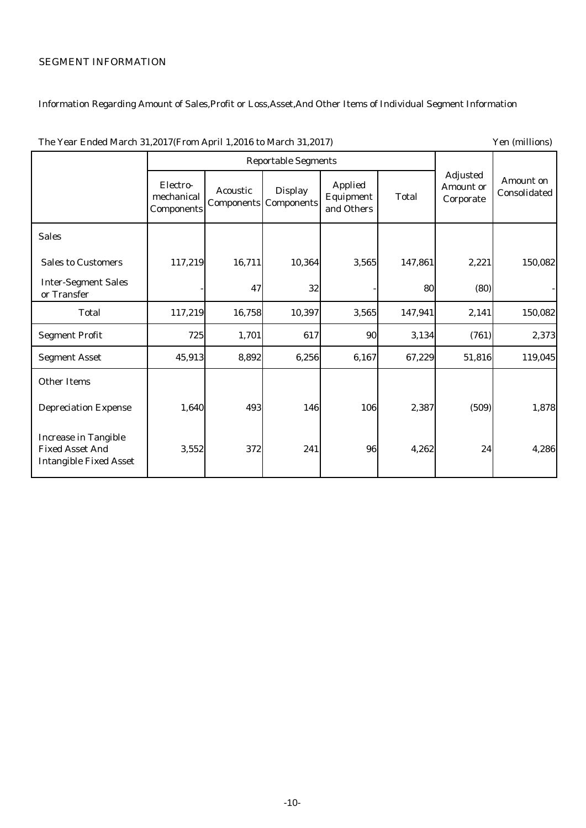## SEGMENT INFORMATION

# Information Regarding Amount of Sales,Profit or Loss,Asset,And Other Items of Individual Segment Information

| The Teal Ended March 31,2017 (From April 1,2010 to March 31,2017)<br>ren <i>(mimmons)</i> |                                             |                 |                                                |                                           |              |                                           |                           |
|-------------------------------------------------------------------------------------------|---------------------------------------------|-----------------|------------------------------------------------|-------------------------------------------|--------------|-------------------------------------------|---------------------------|
|                                                                                           | <b>Reportable Segments</b>                  |                 |                                                |                                           |              |                                           |                           |
|                                                                                           | Electro-<br>mechanical<br><b>Components</b> | <b>Acoustic</b> | <b>Display</b><br><b>Components Components</b> | <b>Applied</b><br>Equipment<br>and Others | <b>Total</b> | Adjusted<br><b>Amount or</b><br>Corporate | Amount on<br>Consolidated |
| <b>Sales</b>                                                                              |                                             |                 |                                                |                                           |              |                                           |                           |
| <b>Sales to Customers</b>                                                                 | 117,219                                     | 16,711          | 10,364                                         | 3,565                                     | 147,861      | 2,221                                     | 150,082                   |
| <b>Inter-Segment Sales</b><br>or Transfer                                                 |                                             | 47              | 32                                             |                                           | 80           | (80)                                      |                           |
| <b>Total</b>                                                                              | 117,219                                     | 16,758          | 10,397                                         | 3,565                                     | 147,941      | 2,141                                     | 150,082                   |
| <b>Segment Profit</b>                                                                     | 725                                         | 1,701           | 617                                            | 90                                        | 3,134        | (761)                                     | 2,373                     |
| <b>Segment Asset</b>                                                                      | 45,913                                      | 8,892           | 6,256                                          | 6,167                                     | 67,229       | 51,816                                    | 119,045                   |
| <b>Other Items</b>                                                                        |                                             |                 |                                                |                                           |              |                                           |                           |
| <b>Depreciation Expense</b>                                                               | 1,640                                       | 493             | 146                                            | 106                                       | 2,387        | (509)                                     | 1,878                     |
| <b>Increase in Tangible</b><br><b>Fixed Asset And</b><br><b>Intangible Fixed Asset</b>    | 3,552                                       | 372             | 241                                            | 96                                        | 4,262        | 24                                        | 4,286                     |

The Year Ended March 31, 2017(From April 1, 2016 to March 31, 2017) Yen (millions)